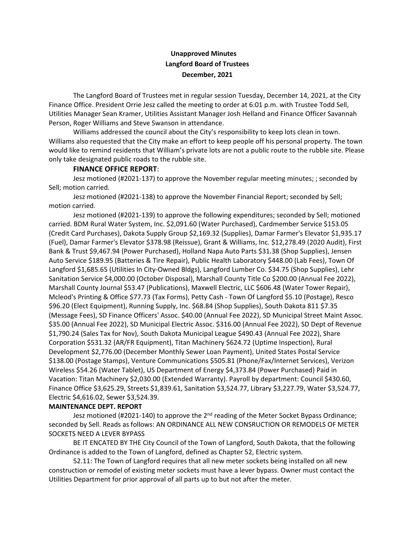## **Unapproved Minutes Langford Board of Trustees December, 2021**

The Langford Board of Trustees met in regular session Tuesday, December 14, 2021, at the City Finance Office. President Orrie Jesz called the meeting to order at 6:01 p.m. with Trustee Todd Sell, Utilities Manager Sean Kramer, Utilities Assistant Manager Josh Helland and Finance Officer Savannah Person, Roger Williams and Steve Swanson in attendance.

Williams addressed the council about the City's responsibility to keep lots clean in town. Williams also requested that the City make an effort to keep people off his personal property. The town would like to remind residents that William's private lots are not a public route to the rubble site. Please only take designated public roads to the rubble site.

## **FINANCE OFFICE REPORT**:

Jesz motioned (#2021-137) to approve the November regular meeting minutes; ; seconded by Sell; motion carried.

Jesz motioned (#2021-138) to approve the November Financial Report; seconded by Sell; motion carried.

Jesz motioned (#2021-139) to approve the following expenditures; seconded by Sell; motioned carried. BDM Rural Water System, Inc. \$2,091.60 (Water Purchased), Cardmember Service \$153.05 (Credit Card Purchases), Dakota Supply Group \$2,169.32 (Supplies), Damar Farmer's Elevator \$1,935.17 (Fuel), Damar Farmer's Elevator \$378.98 (Reissue), Grant & Williams, Inc. \$12,278.49 (2020 Audit), First Bank & Trust \$9,467.94 (Power Purchased), Holland Napa Auto Parts \$31.38 (Shop Supplies), Jensen Auto Service \$189.95 (Batteries & Tire Repair), Public Health Laboratory \$448.00 (Lab Fees), Town Of Langford \$1,685.65 (Utilities In City-Owned Bldgs), Langford Lumber Co. \$34.75 (Shop Supplies), Lehr Sanitation Service \$4,000.00 (October Disposal), Marshall County Title Co \$200.00 (Annual Fee 2022), Marshall County Journal \$53.47 (Publications), Maxwell Electric, LLC \$606.48 (Water Tower Repair), Mcleod's Printing & Office \$77.73 (Tax Forms), Petty Cash - Town Of Langford \$5.10 (Postage), Resco \$96.20 (Elect Equipment), Running Supply, Inc. \$68.84 (Shop Supplies), South Dakota 811 \$7.35 (Message Fees), SD Finance Officers' Assoc. \$40.00 (Annual Fee 2022), SD Municipal Street Maint Assoc. \$35.00 (Annual Fee 2022), SD Municipal Electric Assoc. \$316.00 (Annual Fee 2022), SD Dept of Revenue \$1,790.24 (Sales Tax for Nov), South Dakota Municipal League \$490.43 (Annual Fee 2022), Share Corporation \$531.32 (AR/FR Equipment), Titan Machinery \$624.72 (Uptime Inspection), Rural Development \$2,776.00 (December Monthly Sewer Loan Payment), United States Postal Service \$138.00 (Postage Stamps), Venture Communications \$505.81 (Phone/Fax/Internet Services), Verizon Wireless \$54.26 (Water Tablet), US Department of Energy \$4,373.84 (Power Purchased) Paid in Vacation: Titan Machinery \$2,030.00 (Extended Warranty). Payroll by department: Council \$430.60, Finance Office \$3,625.29, Streets \$1,839.61, Sanitation \$3,524.77, Library \$3,227.79, Water \$3,524.77, Electric \$4,616.02, Sewer \$3,524.39.

## **MAINTENANCE DEPT. REPORT**

Jesz motioned (#2021-140) to approve the 2<sup>nd</sup> reading of the Meter Socket Bypass Ordinance; seconded by Sell. Reads as follows: AN ORDINANCE ALL NEW CONSRUCTION OR REMODELS OF METER SOCKETS NEED A LEVER BYPASS

BE IT ENCATED BY THE City Council of the Town of Langford, South Dakota, that the following Ordinance is added to the Town of Langford, defined as Chapter 52, Electric system.

52.11: The Town of Langford requires that all new meter sockets being installed on all new construction or remodel of existing meter sockets must have a lever bypass. Owner must contact the Utilities Department for prior approval of all parts up to but not after the meter.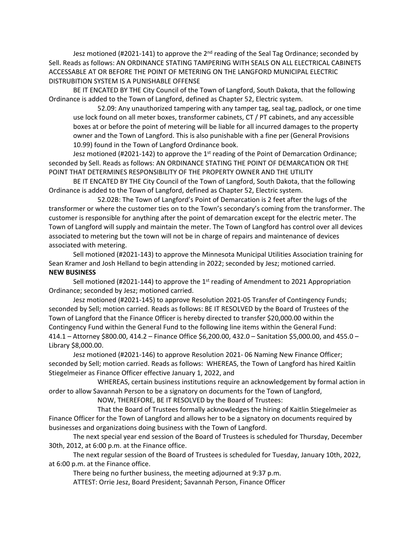Jesz motioned (#2021-141) to approve the 2<sup>nd</sup> reading of the Seal Tag Ordinance; seconded by Sell. Reads as follows: AN ORDINANCE STATING TAMPERING WITH SEALS ON ALL ELECTRICAL CABINETS ACCESSABLE AT OR BEFORE THE POINT OF METERING ON THE LANGFORD MUNICIPAL ELECTRIC DISTRUBITION SYSTEM IS A PUNISHABLE OFFENSE

BE IT ENCATED BY THE City Council of the Town of Langford, South Dakota, that the following Ordinance is added to the Town of Langford, defined as Chapter 52, Electric system.

52.09: Any unauthorized tampering with any tamper tag, seal tag, padlock, or one time use lock found on all meter boxes, transformer cabinets, CT / PT cabinets, and any accessible boxes at or before the point of metering will be liable for all incurred damages to the property owner and the Town of Langford. This is also punishable with a fine per (General Provisions 10.99) found in the Town of Langford Ordinance book.

Jesz motioned (#2021-142) to approve the 1<sup>st</sup> reading of the Point of Demarcation Ordinance; seconded by Sell. Reads as follows: AN ORDINANCE STATING THE POINT OF DEMARCATION OR THE POINT THAT DETERMINES RESPONSIBILITY OF THE PROPERTY OWNER AND THE UTILITY

BE IT ENCATED BY THE City Council of the Town of Langford, South Dakota, that the following Ordinance is added to the Town of Langford, defined as Chapter 52, Electric system.

52.02B: The Town of Langford's Point of Demarcation is 2 feet after the lugs of the transformer or where the customer ties on to the Town's secondary's coming from the transformer. The customer is responsible for anything after the point of demarcation except for the electric meter. The Town of Langford will supply and maintain the meter. The Town of Langford has control over all devices associated to metering but the town will not be in charge of repairs and maintenance of devices associated with metering.

Sell motioned (#2021-143) to approve the Minnesota Municipal Utilities Association training for Sean Kramer and Josh Helland to begin attending in 2022; seconded by Jesz; motioned carried. **NEW BUSINESS**

Sell motioned (#2021-144) to approve the 1<sup>st</sup> reading of Amendment to 2021 Appropriation Ordinance; seconded by Jesz; motioned carried.

Jesz motioned (#2021-145) to approve Resolution 2021-05 Transfer of Contingency Funds; seconded by Sell; motion carried. Reads as follows: BE IT RESOLVED by the Board of Trustees of the Town of Langford that the Finance Officer is hereby directed to transfer \$20,000.00 within the Contingency Fund within the General Fund to the following line items within the General Fund: 414.1 – Attorney \$800.00, 414.2 – Finance Office \$6,200.00, 432.0 – Sanitation \$5,000.00, and 455.0 – Library \$8,000.00.

Jesz motioned (#2021-146) to approve Resolution 2021- 06 Naming New Finance Officer; seconded by Sell; motion carried. Reads as follows: WHEREAS, the Town of Langford has hired Kaitlin Stiegelmeier as Finance Officer effective January 1, 2022, and

WHEREAS, certain business institutions require an acknowledgement by formal action in order to allow Savannah Person to be a signatory on documents for the Town of Langford,

NOW, THEREFORE, BE IT RESOLVED by the Board of Trustees:

That the Board of Trustees formally acknowledges the hiring of Kaitlin Stiegelmeier as Finance Officer for the Town of Langford and allows her to be a signatory on documents required by businesses and organizations doing business with the Town of Langford.

The next special year end session of the Board of Trustees is scheduled for Thursday, December 30th, 2012, at 6:00 p.m. at the Finance office.

The next regular session of the Board of Trustees is scheduled for Tuesday, January 10th, 2022, at 6:00 p.m. at the Finance office.

There being no further business, the meeting adjourned at 9:37 p.m.

ATTEST: Orrie Jesz, Board President; Savannah Person, Finance Officer